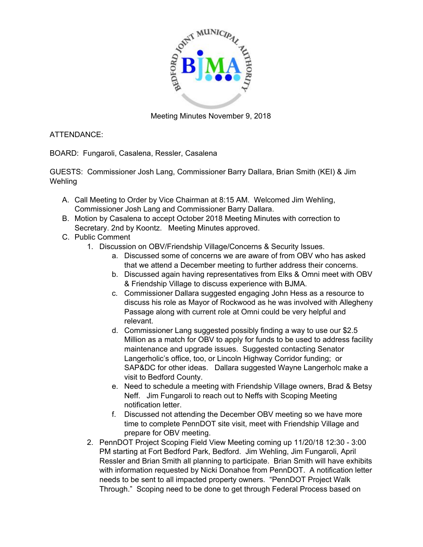

Meeting Minutes November 9, 2018

ATTENDANCE:

BOARD: Fungaroli, Casalena, Ressler, Casalena

GUESTS: Commissioner Josh Lang, Commissioner Barry Dallara, Brian Smith (KEI) & Jim **Wehling** 

- A. Call Meeting to Order by Vice Chairman at 8:15 AM. Welcomed Jim Wehling, Commissioner Josh Lang and Commissioner Barry Dallara.
- B. Motion by Casalena to accept October 2018 Meeting Minutes with correction to Secretary. 2nd by Koontz. Meeting Minutes approved.
- C. Public Comment
	- 1. Discussion on OBV/Friendship Village/Concerns & Security Issues.
		- a. Discussed some of concerns we are aware of from OBV who has asked that we attend a December meeting to further address their concerns.
		- b. Discussed again having representatives from Elks & Omni meet with OBV & Friendship Village to discuss experience with BJMA.
		- c. Commissioner Dallara suggested engaging John Hess as a resource to discuss his role as Mayor of Rockwood as he was involved with Allegheny Passage along with current role at Omni could be very helpful and relevant.
		- d. Commissioner Lang suggested possibly finding a way to use our \$2.5 Million as a match for OBV to apply for funds to be used to address facility maintenance and upgrade issues. Suggested contacting Senator Langerholic's office, too, or Lincoln Highway Corridor funding; or SAP&DC for other ideas. Dallara suggested Wayne Langerholc make a visit to Bedford County.
		- e. Need to schedule a meeting with Friendship Village owners, Brad & Betsy Neff. Jim Fungaroli to reach out to Neffs with Scoping Meeting notification letter.
		- f. Discussed not attending the December OBV meeting so we have more time to complete PennDOT site visit, meet with Friendship Village and prepare for OBV meeting.
	- 2. PennDOT Project Scoping Field View Meeting coming up 11/20/18 12:30 3:00 PM starting at Fort Bedford Park, Bedford. Jim Wehling, Jim Fungaroli, April Ressler and Brian Smith all planning to participate. Brian Smith will have exhibits with information requested by Nicki Donahoe from PennDOT. A notification letter needs to be sent to all impacted property owners. "PennDOT Project Walk Through." Scoping need to be done to get through Federal Process based on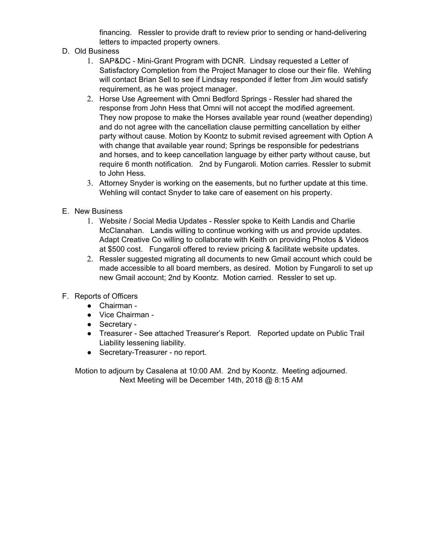financing. Ressler to provide draft to review prior to sending or hand-delivering letters to impacted property owners.

- D. Old Business
	- 1. SAP&DC Mini-Grant Program with DCNR. Lindsay requested a Letter of Satisfactory Completion from the Project Manager to close our their file. Wehling will contact Brian Sell to see if Lindsay responded if letter from Jim would satisfy requirement, as he was project manager.
	- 2. Horse Use Agreement with Omni Bedford Springs Ressler had shared the response from John Hess that Omni will not accept the modified agreement. They now propose to make the Horses available year round (weather depending) and do not agree with the cancellation clause permitting cancellation by either party without cause. Motion by Koontz to submit revised agreement with Option A with change that available year round; Springs be responsible for pedestrians and horses, and to keep cancellation language by either party without cause, but require 6 month notification. 2nd by Fungaroli. Motion carries. Ressler to submit to John Hess.
	- 3. Attorney Snyder is working on the easements, but no further update at this time. Wehling will contact Snyder to take care of easement on his property.
- E. New Business
	- 1. Website / Social Media Updates Ressler spoke to Keith Landis and Charlie McClanahan. Landis willing to continue working with us and provide updates. Adapt Creative Co willing to collaborate with Keith on providing Photos & Videos at \$500 cost. Fungaroli offered to review pricing & facilitate website updates.
	- 2. Ressler suggested migrating all documents to new Gmail account which could be made accessible to all board members, as desired. Motion by Fungaroli to set up new Gmail account; 2nd by Koontz. Motion carried. Ressler to set up.
- F. Reports of Officers
	- Chairman -
	- Vice Chairman -
	- Secretary -
	- Treasurer See attached Treasurer's Report. Reported update on Public Trail Liability lessening liability.
	- Secretary-Treasurer no report.

Motion to adjourn by Casalena at 10:00 AM. 2nd by Koontz. Meeting adjourned. Next Meeting will be December 14th, 2018 @ 8:15 AM